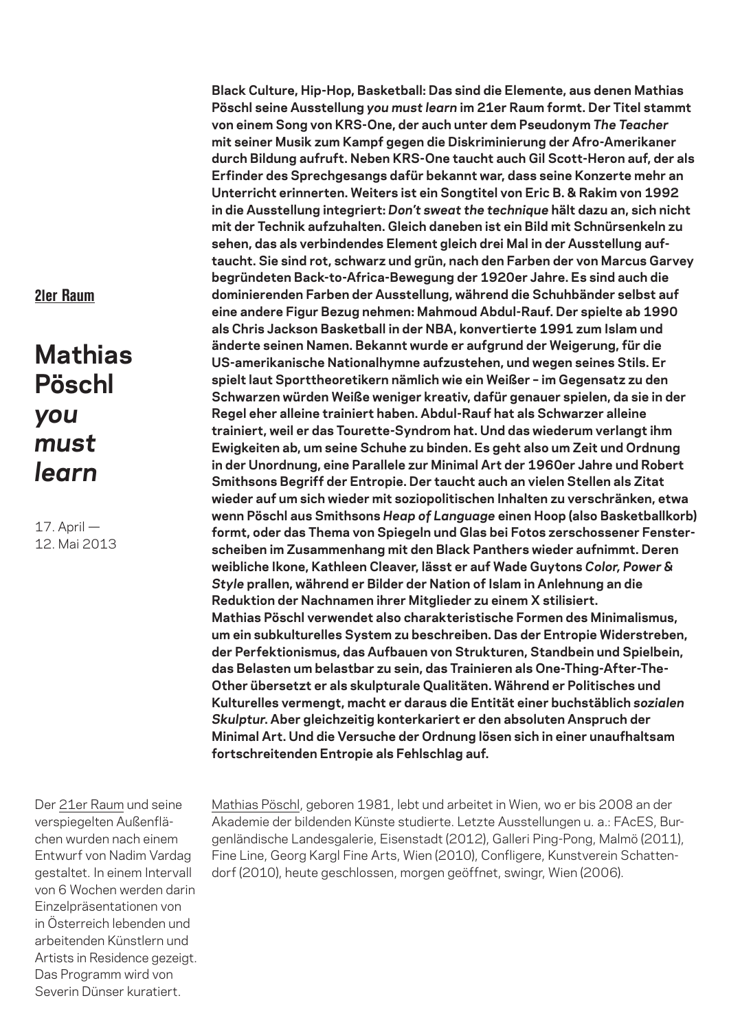21er Raum

## **Mathias Pöschl** *you must learn*

17. April — 12. Mai 2013

Der 21er Raum und seine verspiegelten Außenflächen wurden nach einem Entwurf von Nadim Vardag gestaltet. In einem Intervall von 6 Wochen werden darin Einzelpräsentationen von in Österreich lebenden und arbeitenden Künstlern und Artists in Residence gezeigt. Das Programm wird von Severin Dünser kuratiert.

**Black Culture, Hip-Hop, Basketball: Das sind die Elemente, aus denen Mathias Pöschl seine Ausstellung** *you must learn* **im 21er Raum formt. Der Titel stammt von einem Song von KRS-One, der auch unter dem Pseudonym** *The Teacher* **mit seiner Musik zum Kampf gegen die Diskriminierung der Afro-Amerikaner durch Bildung aufruft. Neben KRS-One taucht auch Gil Scott-Heron auf, der als Erfinder des Sprechgesangs dafür bekannt war, dass seine Konzerte mehr an Unterricht erinnerten. Weiters ist ein Songtitel von Eric B. & Rakim von 1992 in die Ausstellung integriert:** *Don't sweat the technique* **hält dazu an, sich nicht mit der Technik aufzuhalten. Gleich daneben ist ein Bild mit Schnürsenkeln zu sehen, das als verbindendes Element gleich drei Mal in der Ausstellung auftaucht. Sie sind rot, schwarz und grün, nach den Farben der von Marcus Garvey begründeten Back-to-Africa-Bewegung der 1920er Jahre. Es sind auch die dominierenden Farben der Ausstellung, während die Schuhbänder selbst auf eine andere Figur Bezug nehmen: Mahmoud Abdul-Rauf. Der spielte ab 1990 als Chris Jackson Basketball in der NBA, konvertierte 1991 zum Islam und änderte seinen Namen. Bekannt wurde er aufgrund der Weigerung, für die US-amerikanische Nationalhymne aufzustehen, und wegen seines Stils. Er spielt laut Sporttheoretikern nämlich wie ein Weißer – im Gegensatz zu den Schwarzen würden Weiße weniger kreativ, dafür genauer spielen, da sie in der Regel eher alleine trainiert haben. Abdul-Rauf hat als Schwarzer alleine trainiert, weil er das Tourette-Syndrom hat. Und das wiederum verlangt ihm Ewigkeiten ab, um seine Schuhe zu binden. Es geht also um Zeit und Ordnung in der Unordnung, eine Parallele zur Minimal Art der 1960er Jahre und Robert Smithsons Begriff der Entropie. Der taucht auch an vielen Stellen als Zitat wieder auf um sich wieder mit soziopolitischen Inhalten zu verschränken, etwa wenn Pöschl aus Smithsons** *Heap of Language* **einen Hoop (also Basketballkorb) formt, oder das Thema von Spiegeln und Glas bei Fotos zerschossener Fensterscheiben im Zusammenhang mit den Black Panthers wieder aufnimmt. Deren weibliche Ikone, Kathleen Cleaver, lässt er auf Wade Guytons** *Color, Power & Style* **prallen, während er Bilder der Nation of Islam in Anlehnung an die Reduktion der Nachnamen ihrer Mitglieder zu einem X stilisiert. Mathias Pöschl verwendet also charakteristische Formen des Minimalismus, um ein subkulturelles System zu beschreiben. Das der Entropie Widerstreben, der Perfektionismus, das Aufbauen von Strukturen, Standbein und Spielbein, das Belasten um belastbar zu sein, das Trainieren als One-Thing-After-The-Other übersetzt er als skulpturale Qualitäten. Während er Politisches und Kulturelles vermengt, macht er daraus die Entität einer buchstäblich** *sozialen Skulptur***. Aber gleichzeitig konterkariert er den absoluten Anspruch der Minimal Art. Und die Versuche der Ordnung lösen sich in einer unaufhaltsam fortschreitenden Entropie als Fehlschlag auf.**

Mathias Pöschl, geboren 1981, lebt und arbeitet in Wien, wo er bis 2008 an der Akademie der bildenden Künste studierte. Letzte Ausstellungen u. a.: FAcES, Burgenländische Landesgalerie, Eisenstadt (2012), Galleri Ping-Pong, Malmö (2011), Fine Line, Georg Kargl Fine Arts, Wien (2010), Confligere, Kunstverein Schattendorf (2010), heute geschlossen, morgen geöffnet, swingr, Wien (2006).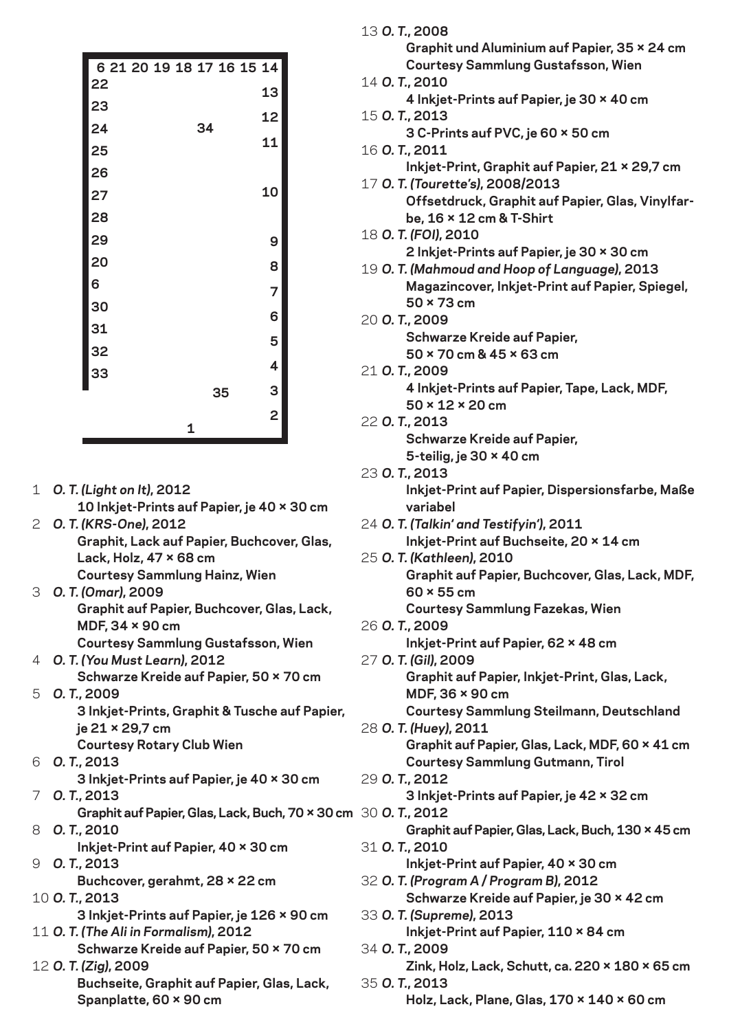| 6 21 20 19 18 17 16 15 14 |  |   |    |    |    |
|---------------------------|--|---|----|----|----|
| 22                        |  |   |    |    | 13 |
| 23                        |  |   |    |    | 12 |
| 24                        |  |   | 34 |    |    |
| 25                        |  |   |    |    | 11 |
| 26                        |  |   |    |    |    |
| 27                        |  |   |    |    | 10 |
| 28                        |  |   |    |    |    |
| 29                        |  |   |    |    | 9  |
| 20                        |  |   |    |    | 8  |
| 6                         |  |   |    |    | 7  |
| 30                        |  |   |    |    | 6  |
| 31                        |  |   |    |    |    |
| 32                        |  |   |    |    | 5  |
| 33                        |  |   |    |    | 4  |
|                           |  |   |    | 35 | 3  |
|                           |  |   |    |    | 2  |
|                           |  | 1 |    |    |    |

- 1 *O. T. (Light on It)***, 2012 10 Inkjet-Prints auf Papier, je 40 × 30 cm**
- 2 *O. T. (KRS-One)***, 2012 Graphit, Lack auf Papier, Buchcover, Glas, Lack, Holz, 47 × 68 cm Courtesy Sammlung Hainz, Wien**
- 3 *O. T. (Omar)***, 2009 Graphit auf Papier, Buchcover, Glas, Lack, MDF, 34 × 90 cm Courtesy Sammlung Gustafsson, Wien**
- 4 *O. T. (You Must Learn)***, 2012 Schwarze Kreide auf Papier, 50 × 70 cm**
- 5 *O. T.***, 2009 3 Inkjet-Prints, Graphit & Tusche auf Papier, je 21 × 29,7 cm**
	- **Courtesy Rotary Club Wien**
- 6 *O. T.***, 2013 3 Inkjet-Prints auf Papier, je 40 × 30 cm**
- 7 *O. T.***, 2013**
- 8 **Graphit auf Papier, Glas, Lack, Buch, 70 × 30 cm** *O. T.***, 2010**
	- **Inkjet-Print auf Papier, 40 × 30 cm**
- 9 *O. T.***, 2013**
	- **Buchcover, gerahmt, 28 × 22 cm**
- 10 *O. T.***, 2013 3 Inkjet-Prints auf Papier, je 126 × 90 cm**
- 11 *O. T. (The Ali in Formalism)***, 2012** 12 *O. T. (Zig)***, 2009 Schwarze Kreide auf Papier, 50 × 70 cm**
	- **Buchseite, Graphit auf Papier, Glas, Lack, Spanplatte, 60 × 90 cm**

|  | 13 O.T., 2008                                                    |
|--|------------------------------------------------------------------|
|  | Graphit und Aluminium auf Papier, 35 × 24 cm                     |
|  | <b>Courtesy Sammlung Gustafsson, Wien</b>                        |
|  | 14 O.T., 2010                                                    |
|  | 4 Inkjet-Prints auf Papier, je 30 × 40 cm                        |
|  | 15 O.T., 2013                                                    |
|  | 3 C-Prints auf PVC, je 60 × 50 cm                                |
|  | 16 O.T., 2011                                                    |
|  | Inkjet-Print, Graphit auf Papier, 21 × 29,7 cm                   |
|  | 17 O. T. (Tourette's), 2008/2013                                 |
|  | Offsetdruck, Graphit auf Papier, Glas, Vinylfar-                 |
|  | be, 16 × 12 cm & T-Shirt                                         |
|  | 18 O.T. (FOI), 2010                                              |
|  | 2 Inkjet-Prints auf Papier, je 30 × 30 cm                        |
|  | 19 O. T. (Mahmoud and Hoop of Language), 2013                    |
|  | Magazincover, Inkjet-Print auf Papier, Spiegel,                  |
|  | $50 \times 73$ cm                                                |
|  | 20 O.T., 2009                                                    |
|  | <b>Schwarze Kreide auf Papier,</b>                               |
|  | 50 × 70 cm & 45 × 63 cm                                          |
|  | 21 O.T., 2009                                                    |
|  | 4 Inkjet-Prints auf Papier, Tape, Lack, MDF,                     |
|  | 50 × 12 × 20 cm                                                  |
|  | 22 O.T., 2013                                                    |
|  | <b>Schwarze Kreide auf Papier,</b>                               |
|  | 5-teilig, je $30 \times 40$ cm                                   |
|  | 23 O.T., 2013                                                    |
|  | Inkjet-Print auf Papier, Dispersionsfarbe, Maße                  |
|  | variabel                                                         |
|  | 24 O. T. (Talkin' and Testifyin'), 2011                          |
|  | Inkjet-Print auf Buchseite, 20 × 14 cm                           |
|  | 25 O.T. (Kathleen), 2010                                         |
|  | Graphit auf Papier, Buchcover, Glas, Lack, MDF,                  |
|  | $60 \times 55$ cm                                                |
|  | <b>Courtesy Sammlung Fazekas, Wien</b>                           |
|  | 26 O.T., 2009                                                    |
|  | Inkjet-Print auf Papier, 62 × 48 cm                              |
|  | 27 O.T. (Gil), 2009                                              |
|  | Graphit auf Papier, Inkjet-Print, Glas, Lack,<br>MDF, 36 × 90 cm |
|  | <b>Courtesy Sammlung Steilmann, Deutschland</b>                  |
|  | 28 O.T. (Huey), 2011                                             |
|  | Graphit auf Papier, Glas, Lack, MDF, 60 × 41 cm                  |
|  | <b>Courtesy Sammlung Gutmann, Tirol</b>                          |
|  | 29 O.T., 2012                                                    |
|  | 3 Inkjet-Prints auf Papier, je 42 × 32 cm                        |
|  | m 30 O.T., 2012                                                  |
|  | Graphit auf Papier, Glas, Lack, Buch, 130 × 45 cm                |
|  | 31 O.T., 2010                                                    |
|  | Inkjet-Print auf Papier, 40 × 30 cm                              |
|  | 32 O. T. (Program A / Program B), 2012                           |
|  | Schwarze Kreide auf Papier, je 30 × 42 cm                        |
|  | 33 O.T. (Supreme), 2013                                          |
|  | Inkjet-Print auf Papier, 110 × 84 cm                             |
|  | 34 O.T., 2009                                                    |
|  | Zink, Holz, Lack, Schutt, ca. 220 × 180 × 65 cm                  |
|  | 35 O.T., 2013                                                    |
|  | Holz, Lack, Plane, Glas, 170 × 140 × 60 cm                       |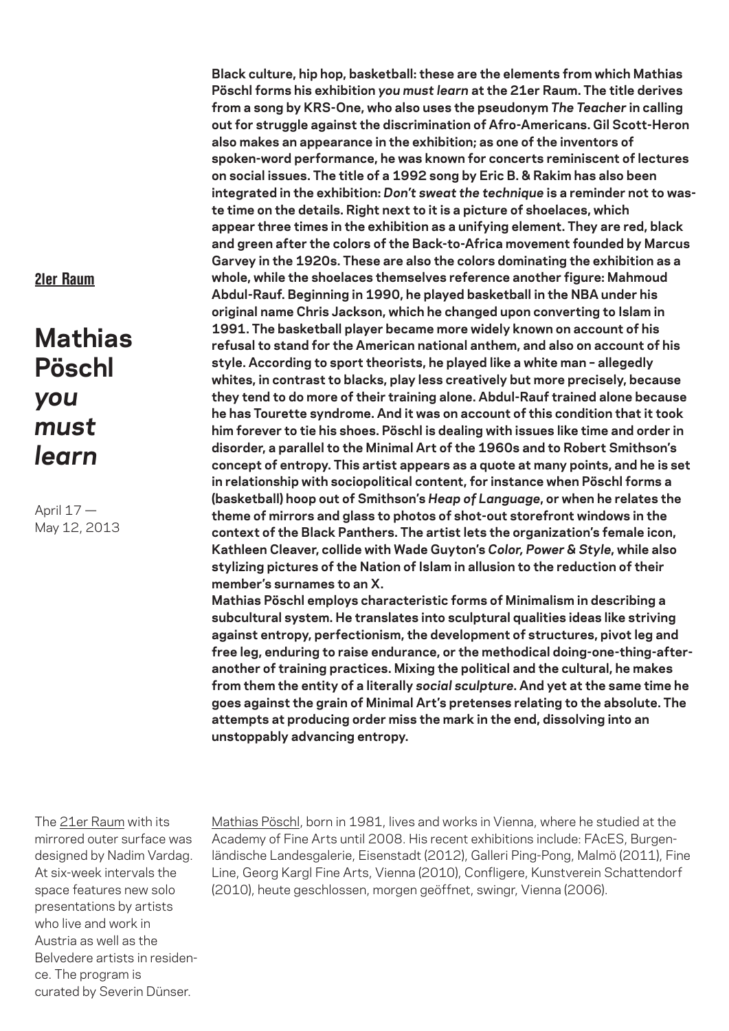21er Raum

**Mathias Pöschl** *you must learn*

April 17 — May 12, 2013 **Black culture, hip hop, basketball: these are the elements from which Mathias Pöschl forms his exhibition** *you must learn* **at the 21er Raum. The title derives from a song by KRS-One, who also uses the pseudonym** *The Teacher* **in calling out for struggle against the discrimination of Afro-Americans. Gil Scott-Heron also makes an appearance in the exhibition; as one of the inventors of spoken-word performance, he was known for concerts reminiscent of lectures on social issues. The title of a 1992 song by Eric B. & Rakim has also been integrated in the exhibition:** *Don't sweat the technique* **is a reminder not to waste time on the details. Right next to it is a picture of shoelaces, which appear three times in the exhibition as a unifying element. They are red, black and green after the colors of the Back-to-Africa movement founded by Marcus Garvey in the 1920s. These are also the colors dominating the exhibition as a whole, while the shoelaces themselves reference another figure: Mahmoud Abdul-Rauf. Beginning in 1990, he played basketball in the NBA under his original name Chris Jackson, which he changed upon converting to Islam in 1991. The basketball player became more widely known on account of his refusal to stand for the American national anthem, and also on account of his style. According to sport theorists, he played like a white man – allegedly whites, in contrast to blacks, play less creatively but more precisely, because they tend to do more of their training alone. Abdul-Rauf trained alone because he has Tourette syndrome. And it was on account of this condition that it took him forever to tie his shoes. Pöschl is dealing with issues like time and order in disorder, a parallel to the Minimal Art of the 1960s and to Robert Smithson's concept of entropy. This artist appears as a quote at many points, and he is set in relationship with sociopolitical content, for instance when Pöschl forms a (basketball) hoop out of Smithson's** *Heap of Language***, or when he relates the theme of mirrors and glass to photos of shot-out storefront windows in the context of the Black Panthers. The artist lets the organization's female icon, Kathleen Cleaver, collide with Wade Guyton's** *Color, Power & Style***, while also stylizing pictures of the Nation of Islam in allusion to the reduction of their member's surnames to an X.**

**Mathias Pöschl employs characteristic forms of Minimalism in describing a subcultural system. He translates into sculptural qualities ideas like striving against entropy, perfectionism, the development of structures, pivot leg and free leg, enduring to raise endurance, or the methodical doing-one-thing-afteranother of training practices. Mixing the political and the cultural, he makes from them the entity of a literally** *social sculpture***. And yet at the same time he goes against the grain of Minimal Art's pretenses relating to the absolute. The attempts at producing order miss the mark in the end, dissolving into an unstoppably advancing entropy.**

The 21er Raum with its mirrored outer surface was designed by Nadim Vardag. At six-week intervals the space features new solo presentations by artists who live and work in Austria as well as the Belvedere artists in residence. The program is curated by Severin Dünser.

Mathias Pöschl, born in 1981, lives and works in Vienna, where he studied at the Academy of Fine Arts until 2008. His recent exhibitions include: FAcES, Burgenländische Landesgalerie, Eisenstadt (2012), Galleri Ping-Pong, Malmö (2011), Fine Line, Georg Kargl Fine Arts, Vienna (2010), Confligere, Kunstverein Schattendorf (2010), heute geschlossen, morgen geöffnet, swingr, Vienna (2006).